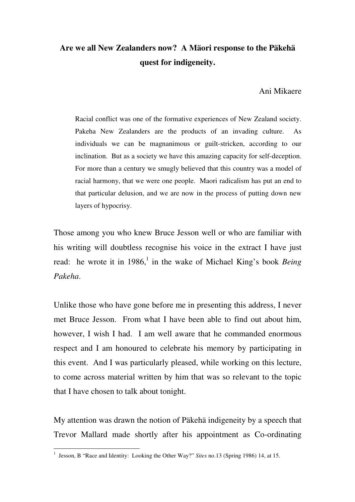## **Are we all New Zealanders now? A Mäori response to the Päkehä quest for indigeneity.**

Ani Mikaere

Racial conflict was one of the formative experiences of New Zealand society. Pakeha New Zealanders are the products of an invading culture. As individuals we can be magnanimous or guilt-stricken, according to our inclination. But as a society we have this amazing capacity for self-deception. For more than a century we smugly believed that this country was a model of racial harmony, that we were one people. Maori radicalism has put an end to that particular delusion, and we are now in the process of putting down new layers of hypocrisy.

Those among you who knew Bruce Jesson well or who are familiar with his writing will doubtless recognise his voice in the extract I have just read: he wrote it in 1986,<sup>1</sup> in the wake of Michael King's book *Being Pakeha*.

Unlike those who have gone before me in presenting this address, I never met Bruce Jesson. From what I have been able to find out about him, however, I wish I had. I am well aware that he commanded enormous respect and I am honoured to celebrate his memory by participating in this event. And I was particularly pleased, while working on this lecture, to come across material written by him that was so relevant to the topic that I have chosen to talk about tonight.

My attention was drawn the notion of Päkehä indigeneity by a speech that Trevor Mallard made shortly after his appointment as Co-ordinating

 1 Jesson, B "Race and Identity: Looking the Other Way?" *Sites* no.13 (Spring 1986) 14, at 15.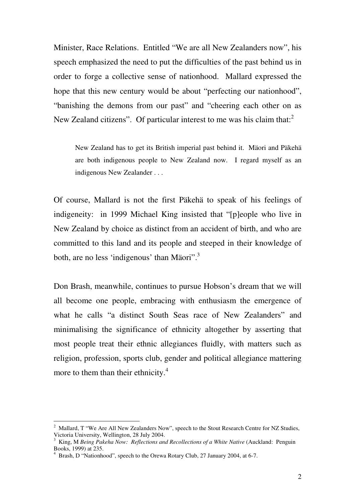Minister, Race Relations. Entitled "We are all New Zealanders now", his speech emphasized the need to put the difficulties of the past behind us in order to forge a collective sense of nationhood. Mallard expressed the hope that this new century would be about "perfecting our nationhood", "banishing the demons from our past" and "cheering each other on as New Zealand citizens". Of particular interest to me was his claim that: $2$ 

 New Zealand has to get its British imperial past behind it. Mäori and Päkehä are both indigenous people to New Zealand now. I regard myself as an indigenous New Zealander . . .

Of course, Mallard is not the first Päkehä to speak of his feelings of indigeneity: in 1999 Michael King insisted that "[p]eople who live in New Zealand by choice as distinct from an accident of birth, and who are committed to this land and its people and steeped in their knowledge of both, are no less 'indigenous' than Mäori".<sup>3</sup>

Don Brash, meanwhile, continues to pursue Hobson's dream that we will all become one people, embracing with enthusiasm the emergence of what he calls "a distinct South Seas race of New Zealanders" and minimalising the significance of ethnicity altogether by asserting that most people treat their ethnic allegiances fluidly, with matters such as religion, profession, sports club, gender and political allegiance mattering more to them than their ethnicity.<sup>4</sup>

<sup>&</sup>lt;sup>2</sup> Mallard, T "We Are All New Zealanders Now", speech to the Stout Research Centre for NZ Studies, Victoria University, Wellington, 28 July 2004.

<sup>3</sup> King, M *Being Pakeha Now: Reflections and Recollections of a White Native* (Auckland: Penguin Books, 1999) at 235.

<sup>&</sup>lt;sup>4</sup> Brash, D "Nationhood", speech to the Orewa Rotary Club, 27 January 2004, at 6-7.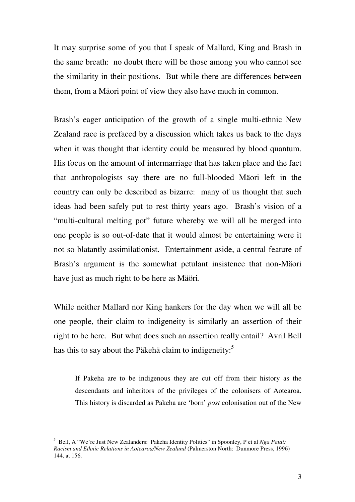It may surprise some of you that I speak of Mallard, King and Brash in the same breath: no doubt there will be those among you who cannot see the similarity in their positions. But while there are differences between them, from a Mäori point of view they also have much in common.

Brash's eager anticipation of the growth of a single multi-ethnic New Zealand race is prefaced by a discussion which takes us back to the days when it was thought that identity could be measured by blood quantum. His focus on the amount of intermarriage that has taken place and the fact that anthropologists say there are no full-blooded Mäori left in the country can only be described as bizarre: many of us thought that such ideas had been safely put to rest thirty years ago. Brash's vision of a "multi-cultural melting pot" future whereby we will all be merged into one people is so out-of-date that it would almost be entertaining were it not so blatantly assimilationist. Entertainment aside, a central feature of Brash's argument is the somewhat petulant insistence that non-Mäori have just as much right to be here as Mäöri.

While neither Mallard nor King hankers for the day when we will all be one people, their claim to indigeneity is similarly an assertion of their right to be here. But what does such an assertion really entail? Avril Bell has this to say about the Päkehä claim to indigeneity:<sup>5</sup>

 If Pakeha are to be indigenous they are cut off from their history as the descendants and inheritors of the privileges of the colonisers of Aotearoa. This history is discarded as Pakeha are 'born' *post* colonisation out of the New

<sup>5</sup> Bell, A "We're Just New Zealanders: Pakeha Identity Politics" in Spoonley, P et al *Nga Patai: Racism and Ethnic Relations in Aotearoa/New Zealand* (Palmerston North: Dunmore Press, 1996) 144, at 156.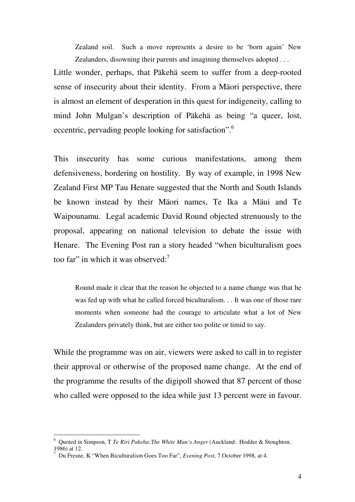Zealand soil. Such a move represents a desire to be 'born again' New Zealanders, disowning their parents and imagining themselves adopted . . .

Little wonder, perhaps, that Päkehä seem to suffer from a deep-rooted sense of insecurity about their identity. From a Mäori perspective, there is almost an element of desperation in this quest for indigeneity, calling to mind John Mulgan's description of Päkehä as being "a queer, lost, eccentric, pervading people looking for satisfaction".<sup>6</sup>

This insecurity has some curious manifestations, among them defensiveness, bordering on hostility. By way of example, in 1998 New Zealand First MP Tau Henare suggested that the North and South Islands be known instead by their Mäori names, Te Ika a Mäui and Te Waipounamu. Legal academic David Round objected strenuously to the proposal, appearing on national television to debate the issue with Henare. The Evening Post ran a story headed "when biculturalism goes too far" in which it was observed: $<sup>7</sup>$ </sup>

Round made it clear that the reason he objected to a name change was that he was fed up with what he called forced biculturalism. . . It was one of those rare moments when someone had the courage to articulate what a lot of New Zealanders privately think, but are either too polite or timid to say.

While the programme was on air, viewers were asked to call in to register their approval or otherwise of the proposed name change. At the end of the programme the results of the digipoll showed that 87 percent of those who called were opposed to the idea while just 13 percent were in favour.

 6 Quoted in Simpson, T *Te Riri Pakeha:The White Man's Anger* (Auckland: Hodder & Stoughton, 1986) at 12.

<sup>7</sup> Du Fresne, K "When Biculturalism Goes Too Far", *Evening Post*, 7 October 1998, at 4.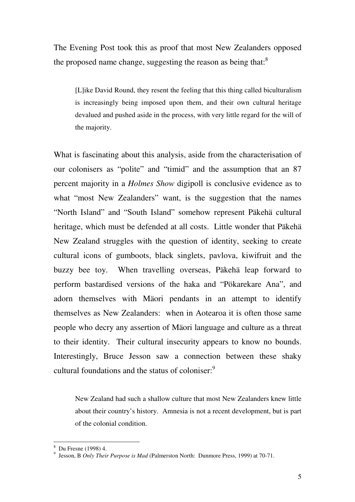The Evening Post took this as proof that most New Zealanders opposed the proposed name change, suggesting the reason as being that: $^8$ 

[L]ike David Round, they resent the feeling that this thing called biculturalism is increasingly being imposed upon them, and their own cultural heritage devalued and pushed aside in the process, with very little regard for the will of the majority.

What is fascinating about this analysis, aside from the characterisation of our colonisers as "polite" and "timid" and the assumption that an 87 percent majority in a *Holmes Show* digipoll is conclusive evidence as to what "most New Zealanders" want, is the suggestion that the names "North Island" and "South Island" somehow represent Päkehä cultural heritage, which must be defended at all costs. Little wonder that Päkehä New Zealand struggles with the question of identity, seeking to create cultural icons of gumboots, black singlets, pavlova, kiwifruit and the buzzy bee toy. When travelling overseas, Päkehä leap forward to perform bastardised versions of the haka and "Pökarekare Ana", and adorn themselves with Mäori pendants in an attempt to identify themselves as New Zealanders: when in Aotearoa it is often those same people who decry any assertion of Mäori language and culture as a threat to their identity. Their cultural insecurity appears to know no bounds. Interestingly, Bruce Jesson saw a connection between these shaky cultural foundations and the status of coloniser.<sup>9</sup>

New Zealand had such a shallow culture that most New Zealanders knew little about their country's history. Amnesia is not a recent development, but is part of the colonial condition.

 8 Du Fresne (1998) 4.

<sup>9</sup> Jesson, B *Only Their Purpose is Mad* (Palmerston North: Dunmore Press, 1999) at 70-71.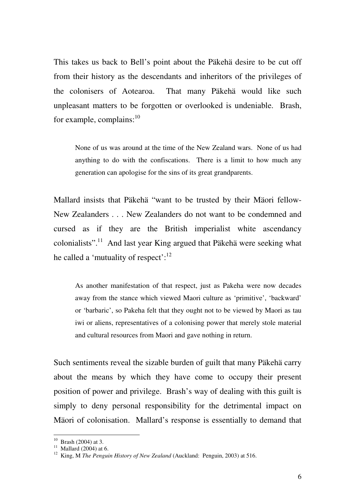This takes us back to Bell's point about the Päkehä desire to be cut off from their history as the descendants and inheritors of the privileges of the colonisers of Aotearoa. That many Päkehä would like such unpleasant matters to be forgotten or overlooked is undeniable. Brash, for example, complains: $^{10}$ 

 None of us was around at the time of the New Zealand wars. None of us had anything to do with the confiscations. There is a limit to how much any generation can apologise for the sins of its great grandparents.

Mallard insists that Päkehä "want to be trusted by their Mäori fellow-New Zealanders . . . New Zealanders do not want to be condemned and cursed as if they are the British imperialist white ascendancy colonialists".<sup>11</sup> And last year King argued that Päkehä were seeking what he called a 'mutuality of respect': $12$ 

 As another manifestation of that respect, just as Pakeha were now decades away from the stance which viewed Maori culture as 'primitive', 'backward' or 'barbaric', so Pakeha felt that they ought not to be viewed by Maori as tau iwi or aliens, representatives of a colonising power that merely stole material and cultural resources from Maori and gave nothing in return.

Such sentiments reveal the sizable burden of guilt that many Päkehä carry about the means by which they have come to occupy their present position of power and privilege. Brash's way of dealing with this guilt is simply to deny personal responsibility for the detrimental impact on Mäori of colonisation. Mallard's response is essentially to demand that

 $10$  Brash (2004) at 3.

 $11$  Mallard (2004) at 6.

<sup>&</sup>lt;sup>12</sup> King, M *The Penguin History of New Zealand* (Auckland: Penguin, 2003) at 516.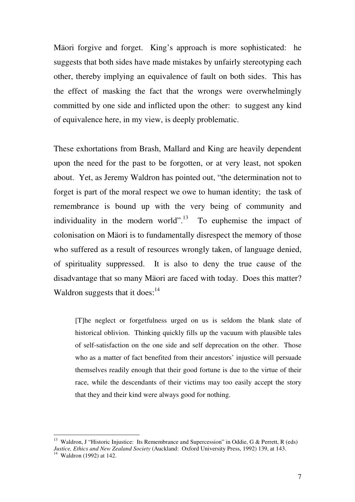Mäori forgive and forget. King's approach is more sophisticated: he suggests that both sides have made mistakes by unfairly stereotyping each other, thereby implying an equivalence of fault on both sides. This has the effect of masking the fact that the wrongs were overwhelmingly committed by one side and inflicted upon the other: to suggest any kind of equivalence here, in my view, is deeply problematic.

These exhortations from Brash, Mallard and King are heavily dependent upon the need for the past to be forgotten, or at very least, not spoken about. Yet, as Jeremy Waldron has pointed out, "the determination not to forget is part of the moral respect we owe to human identity; the task of remembrance is bound up with the very being of community and individuality in the modern world".<sup>13</sup> To euphemise the impact of colonisation on Mäori is to fundamentally disrespect the memory of those who suffered as a result of resources wrongly taken, of language denied, of spirituality suppressed. It is also to deny the true cause of the disadvantage that so many Mäori are faced with today. Does this matter? Waldron suggests that it does: $14$ 

[T]he neglect or forgetfulness urged on us is seldom the blank slate of historical oblivion. Thinking quickly fills up the vacuum with plausible tales of self-satisfaction on the one side and self deprecation on the other. Those who as a matter of fact benefited from their ancestors' injustice will persuade themselves readily enough that their good fortune is due to the virtue of their race, while the descendants of their victims may too easily accept the story that they and their kind were always good for nothing.

<sup>&</sup>lt;sup>13</sup> Waldron, J "Historic Injustice: Its Remembrance and Supercession" in Oddie, G & Perrett, R (eds) *Justice, Ethics and New Zealand Society* (Auckland: Oxford University Press, 1992) 139, at 143.

 $14$  Waldron (1992) at 142.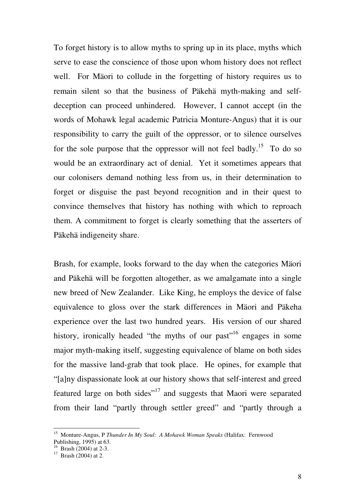To forget history is to allow myths to spring up in its place, myths which serve to ease the conscience of those upon whom history does not reflect well. For Mäori to collude in the forgetting of history requires us to remain silent so that the business of Päkehä myth-making and selfdeception can proceed unhindered. However, I cannot accept (in the words of Mohawk legal academic Patricia Monture-Angus) that it is our responsibility to carry the guilt of the oppressor, or to silence ourselves for the sole purpose that the oppressor will not feel badly.<sup>15</sup> To do so would be an extraordinary act of denial. Yet it sometimes appears that our colonisers demand nothing less from us, in their determination to forget or disguise the past beyond recognition and in their quest to convince themselves that history has nothing with which to reproach them. A commitment to forget is clearly something that the asserters of Päkehä indigeneity share.

Brash, for example, looks forward to the day when the categories Mäori and Päkehä will be forgotten altogether, as we amalgamate into a single new breed of New Zealander. Like King, he employs the device of false equivalence to gloss over the stark differences in Mäori and Päkeha experience over the last two hundred years. His version of our shared history, ironically headed "the myths of our past"<sup>16</sup> engages in some major myth-making itself, suggesting equivalence of blame on both sides for the massive land-grab that took place. He opines, for example that "[a]ny dispassionate look at our history shows that self-interest and greed featured large on both sides"<sup>17</sup> and suggests that Maori were separated from their land "partly through settler greed" and "partly through a

<sup>15</sup> Monture-Angus, P *Thunder In My Soul: A Mohawk Woman Speaks* (Halifax: Fernwood Publishing, 1995) at 63.

 $16$  Brash (2004) at 2-3.

 $17$  Brash (2004) at 2.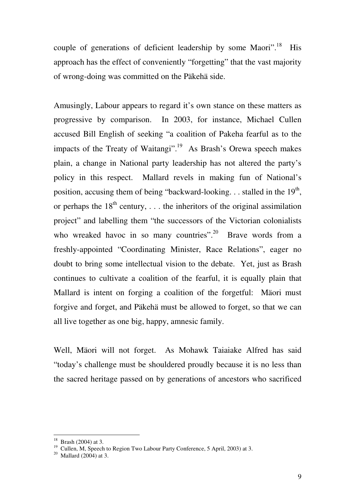couple of generations of deficient leadership by some Maori".<sup>18</sup> His approach has the effect of conveniently "forgetting" that the vast majority of wrong-doing was committed on the Päkehä side.

Amusingly, Labour appears to regard it's own stance on these matters as progressive by comparison. In 2003, for instance, Michael Cullen accused Bill English of seeking "a coalition of Pakeha fearful as to the impacts of the Treaty of Waitangi".<sup>19</sup> As Brash's Orewa speech makes plain, a change in National party leadership has not altered the party's policy in this respect. Mallard revels in making fun of National's position, accusing them of being "backward-looking... stalled in the  $19<sup>th</sup>$ , or perhaps the  $18<sup>th</sup>$  century, ... the inheritors of the original assimilation project" and labelling them "the successors of the Victorian colonialists who wreaked havoc in so many countries".<sup>20</sup> Brave words from a freshly-appointed "Coordinating Minister, Race Relations", eager no doubt to bring some intellectual vision to the debate. Yet, just as Brash continues to cultivate a coalition of the fearful, it is equally plain that Mallard is intent on forging a coalition of the forgetful: Mäori must forgive and forget, and Päkehä must be allowed to forget, so that we can all live together as one big, happy, amnesic family.

Well, Mäori will not forget. As Mohawk Taiaiake Alfred has said "today's challenge must be shouldered proudly because it is no less than the sacred heritage passed on by generations of ancestors who sacrificed

 $18$  Brash (2004) at 3.

<sup>&</sup>lt;sup>19</sup> Cullen, M, Speech to Region Two Labour Party Conference, 5 April, 2003) at 3.

 $20$  Mallard (2004) at 3.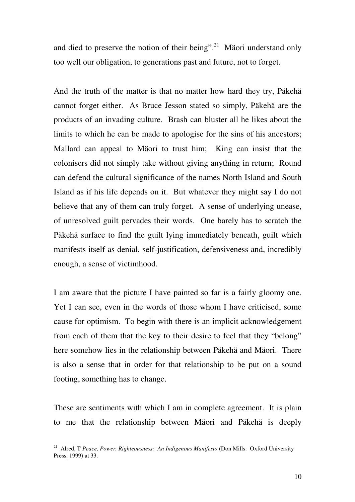and died to preserve the notion of their being".<sup>21</sup> Mäori understand only too well our obligation, to generations past and future, not to forget.

And the truth of the matter is that no matter how hard they try, Päkehä cannot forget either. As Bruce Jesson stated so simply, Päkehä are the products of an invading culture. Brash can bluster all he likes about the limits to which he can be made to apologise for the sins of his ancestors; Mallard can appeal to Mäori to trust him; King can insist that the colonisers did not simply take without giving anything in return; Round can defend the cultural significance of the names North Island and South Island as if his life depends on it. But whatever they might say I do not believe that any of them can truly forget. A sense of underlying unease, of unresolved guilt pervades their words. One barely has to scratch the Päkehä surface to find the guilt lying immediately beneath, guilt which manifests itself as denial, self-justification, defensiveness and, incredibly enough, a sense of victimhood.

I am aware that the picture I have painted so far is a fairly gloomy one. Yet I can see, even in the words of those whom I have criticised, some cause for optimism. To begin with there is an implicit acknowledgement from each of them that the key to their desire to feel that they "belong" here somehow lies in the relationship between Päkehä and Mäori. There is also a sense that in order for that relationship to be put on a sound footing, something has to change.

These are sentiments with which I am in complete agreement. It is plain to me that the relationship between Mäori and Päkehä is deeply

<sup>21</sup> Alred, T *Peace, Power, Righteousness: An Indigenous Manifesto* (Don Mills: Oxford University Press, 1999) at 33.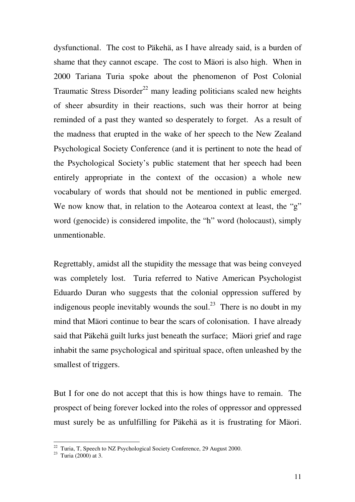dysfunctional. The cost to Päkehä, as I have already said, is a burden of shame that they cannot escape. The cost to Mäori is also high. When in 2000 Tariana Turia spoke about the phenomenon of Post Colonial Traumatic Stress Disorder<sup>22</sup> many leading politicians scaled new heights of sheer absurdity in their reactions, such was their horror at being reminded of a past they wanted so desperately to forget. As a result of the madness that erupted in the wake of her speech to the New Zealand Psychological Society Conference (and it is pertinent to note the head of the Psychological Society's public statement that her speech had been entirely appropriate in the context of the occasion) a whole new vocabulary of words that should not be mentioned in public emerged. We now know that, in relation to the Aotearoa context at least, the "g" word (genocide) is considered impolite, the "h" word (holocaust), simply unmentionable.

Regrettably, amidst all the stupidity the message that was being conveyed was completely lost. Turia referred to Native American Psychologist Eduardo Duran who suggests that the colonial oppression suffered by indigenous people inevitably wounds the soul.<sup>23</sup> There is no doubt in my mind that Mäori continue to bear the scars of colonisation. I have already said that Päkehä guilt lurks just beneath the surface; Mäori grief and rage inhabit the same psychological and spiritual space, often unleashed by the smallest of triggers.

But I for one do not accept that this is how things have to remain. The prospect of being forever locked into the roles of oppressor and oppressed must surely be as unfulfilling for Päkehä as it is frustrating for Mäori.

 $22$  Turia, T, Speech to NZ Psychological Society Conference, 29 August 2000.

 $23$  Turia (2000) at 3.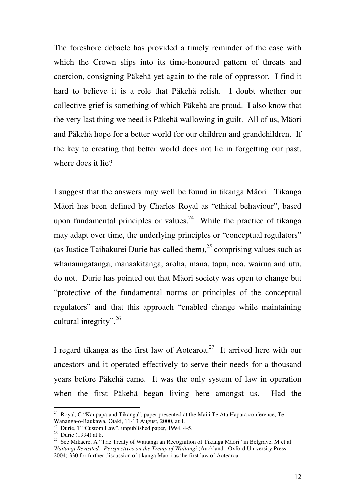The foreshore debacle has provided a timely reminder of the ease with which the Crown slips into its time-honoured pattern of threats and coercion, consigning Päkehä yet again to the role of oppressor. I find it hard to believe it is a role that Päkehä relish. I doubt whether our collective grief is something of which Päkehä are proud. I also know that the very last thing we need is Päkehä wallowing in guilt. All of us, Mäori and Päkehä hope for a better world for our children and grandchildren. If the key to creating that better world does not lie in forgetting our past, where does it lie?

I suggest that the answers may well be found in tikanga Mäori. Tikanga Mäori has been defined by Charles Royal as "ethical behaviour", based upon fundamental principles or values.<sup>24</sup> While the practice of tikanga may adapt over time, the underlying principles or "conceptual regulators" (as Justice Taihakurei Durie has called them),<sup>25</sup> comprising values such as whanaungatanga, manaakitanga, aroha, mana, tapu, noa, wairua and utu, do not. Durie has pointed out that Mäori society was open to change but "protective of the fundamental norms or principles of the conceptual regulators" and that this approach "enabled change while maintaining cultural integrity".  $26$ 

I regard tikanga as the first law of Aotearoa.<sup>27</sup> It arrived here with our ancestors and it operated effectively to serve their needs for a thousand years before Päkehä came. It was the only system of law in operation when the first Päkehä began living here amongst us. Had the

 $24$  Royal, C "Kaupapa and Tikanga", paper presented at the Mai i Te Ata Hapara conference, Te Wananga-o-Raukawa, Otaki, 11-13 August, 2000, at 1.

<sup>&</sup>lt;sup>25</sup> Durie, T "Custom Law", unpublished paper, 1994, 4-5.

 $26$  Durie (1994) at 8.

 $27$  See Mikaere, A "The Treaty of Waitangi an Recognition of Tikanga Mäori" in Belgrave, M et al *Waitangi Revisited: Perspectives on the Treaty of Waitangi* (Auckland: Oxford University Press, 2004) 330 for further discussion of tikanga Mäori as the first law of Aotearoa.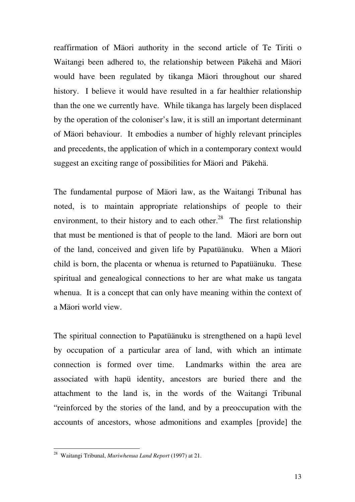reaffirmation of Mäori authority in the second article of Te Tiriti o Waitangi been adhered to, the relationship between Päkehä and Mäori would have been regulated by tikanga Mäori throughout our shared history. I believe it would have resulted in a far healthier relationship than the one we currently have. While tikanga has largely been displaced by the operation of the coloniser's law, it is still an important determinant of Mäori behaviour. It embodies a number of highly relevant principles and precedents, the application of which in a contemporary context would suggest an exciting range of possibilities for Mäori and Päkehä.

The fundamental purpose of Mäori law, as the Waitangi Tribunal has noted, is to maintain appropriate relationships of people to their environment, to their history and to each other.<sup>28</sup> The first relationship that must be mentioned is that of people to the land. Mäori are born out of the land, conceived and given life by Papatüänuku. When a Mäori child is born, the placenta or whenua is returned to Papatüänuku. These spiritual and genealogical connections to her are what make us tangata whenua. It is a concept that can only have meaning within the context of a Mäori world view.

The spiritual connection to Papatüänuku is strengthened on a hapü level by occupation of a particular area of land, with which an intimate connection is formed over time. Landmarks within the area are associated with hapü identity, ancestors are buried there and the attachment to the land is, in the words of the Waitangi Tribunal "reinforced by the stories of the land, and by a preoccupation with the accounts of ancestors, whose admonitions and examples [provide] the

<sup>28</sup> Waitangi Tribunal, *Muriwhenua Land Report* (1997) at 21.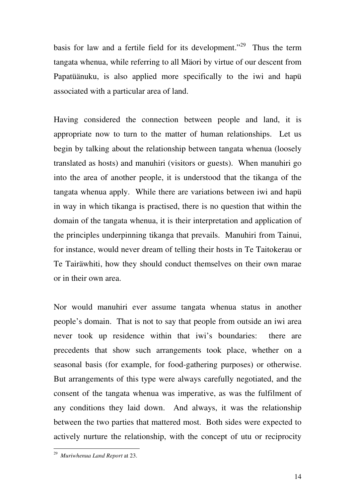basis for law and a fertile field for its development."<sup>29</sup> Thus the term tangata whenua, while referring to all Mäori by virtue of our descent from Papatüänuku, is also applied more specifically to the iwi and hapü associated with a particular area of land.

Having considered the connection between people and land, it is appropriate now to turn to the matter of human relationships. Let us begin by talking about the relationship between tangata whenua (loosely translated as hosts) and manuhiri (visitors or guests). When manuhiri go into the area of another people, it is understood that the tikanga of the tangata whenua apply. While there are variations between iwi and hapü in way in which tikanga is practised, there is no question that within the domain of the tangata whenua, it is their interpretation and application of the principles underpinning tikanga that prevails. Manuhiri from Tainui, for instance, would never dream of telling their hosts in Te Taitokerau or Te Tairäwhiti, how they should conduct themselves on their own marae or in their own area.

Nor would manuhiri ever assume tangata whenua status in another people's domain. That is not to say that people from outside an iwi area never took up residence within that iwi's boundaries: there are precedents that show such arrangements took place, whether on a seasonal basis (for example, for food-gathering purposes) or otherwise. But arrangements of this type were always carefully negotiated, and the consent of the tangata whenua was imperative, as was the fulfilment of any conditions they laid down. And always, it was the relationship between the two parties that mattered most. Both sides were expected to actively nurture the relationship, with the concept of utu or reciprocity

 29 *Muriwhenua Land Report* at 23.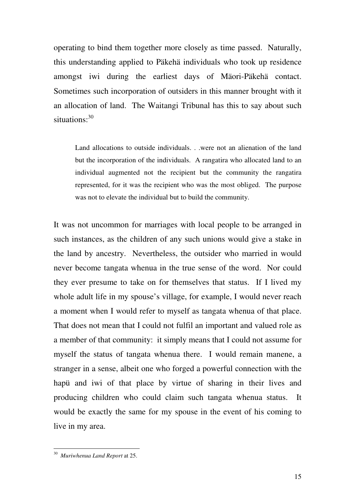operating to bind them together more closely as time passed. Naturally, this understanding applied to Päkehä individuals who took up residence amongst iwi during the earliest days of Mäori-Päkehä contact. Sometimes such incorporation of outsiders in this manner brought with it an allocation of land. The Waitangi Tribunal has this to say about such situations:<sup>30</sup>

Land allocations to outside individuals. . .were not an alienation of the land but the incorporation of the individuals. A rangatira who allocated land to an individual augmented not the recipient but the community the rangatira represented, for it was the recipient who was the most obliged. The purpose was not to elevate the individual but to build the community.

It was not uncommon for marriages with local people to be arranged in such instances, as the children of any such unions would give a stake in the land by ancestry. Nevertheless, the outsider who married in would never become tangata whenua in the true sense of the word. Nor could they ever presume to take on for themselves that status. If I lived my whole adult life in my spouse's village, for example, I would never reach a moment when I would refer to myself as tangata whenua of that place. That does not mean that I could not fulfil an important and valued role as a member of that community: it simply means that I could not assume for myself the status of tangata whenua there. I would remain manene, a stranger in a sense, albeit one who forged a powerful connection with the hapü and iwi of that place by virtue of sharing in their lives and producing children who could claim such tangata whenua status. It would be exactly the same for my spouse in the event of his coming to live in my area.

 30 *Muriwhenua Land Report* at 25.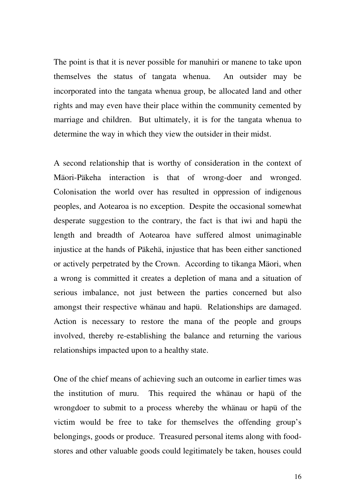The point is that it is never possible for manuhiri or manene to take upon themselves the status of tangata whenua. An outsider may be incorporated into the tangata whenua group, be allocated land and other rights and may even have their place within the community cemented by marriage and children. But ultimately, it is for the tangata whenua to determine the way in which they view the outsider in their midst.

A second relationship that is worthy of consideration in the context of Mäori-Päkeha interaction is that of wrong-doer and wronged. Colonisation the world over has resulted in oppression of indigenous peoples, and Aotearoa is no exception. Despite the occasional somewhat desperate suggestion to the contrary, the fact is that iwi and hapü the length and breadth of Aotearoa have suffered almost unimaginable injustice at the hands of Päkehä, injustice that has been either sanctioned or actively perpetrated by the Crown. According to tikanga Mäori, when a wrong is committed it creates a depletion of mana and a situation of serious imbalance, not just between the parties concerned but also amongst their respective whänau and hapü. Relationships are damaged. Action is necessary to restore the mana of the people and groups involved, thereby re-establishing the balance and returning the various relationships impacted upon to a healthy state.

One of the chief means of achieving such an outcome in earlier times was the institution of muru. This required the whänau or hapü of the wrongdoer to submit to a process whereby the whänau or hapü of the victim would be free to take for themselves the offending group's belongings, goods or produce. Treasured personal items along with foodstores and other valuable goods could legitimately be taken, houses could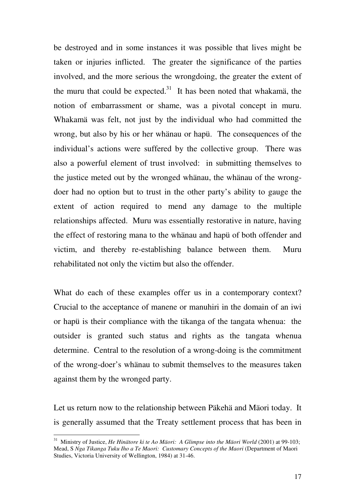be destroyed and in some instances it was possible that lives might be taken or injuries inflicted. The greater the significance of the parties involved, and the more serious the wrongdoing, the greater the extent of the muru that could be expected. $31$  It has been noted that whakamä, the notion of embarrassment or shame, was a pivotal concept in muru. Whakamä was felt, not just by the individual who had committed the wrong, but also by his or her whänau or hapü. The consequences of the individual's actions were suffered by the collective group. There was also a powerful element of trust involved: in submitting themselves to the justice meted out by the wronged whänau, the whänau of the wrongdoer had no option but to trust in the other party's ability to gauge the extent of action required to mend any damage to the multiple relationships affected. Muru was essentially restorative in nature, having the effect of restoring mana to the whänau and hapü of both offender and victim, and thereby re-establishing balance between them. Muru rehabilitated not only the victim but also the offender.

What do each of these examples offer us in a contemporary context? Crucial to the acceptance of manene or manuhiri in the domain of an iwi or hapü is their compliance with the tikanga of the tangata whenua: the outsider is granted such status and rights as the tangata whenua determine. Central to the resolution of a wrong-doing is the commitment of the wrong-doer's whänau to submit themselves to the measures taken against them by the wronged party.

Let us return now to the relationship between Päkehä and Mäori today. It is generally assumed that the Treaty settlement process that has been in

<sup>31</sup> Ministry of Justice, *He Hinätore ki te Ao Mäori: A Glimpse into the Mäori World* (2001) at 99-103; Mead, S *Nga Tikanga Tuku Iho a Te Maori: Customary Concepts of the Maori* (Department of Maori Studies, Victoria University of Wellington, 1984) at 31-46.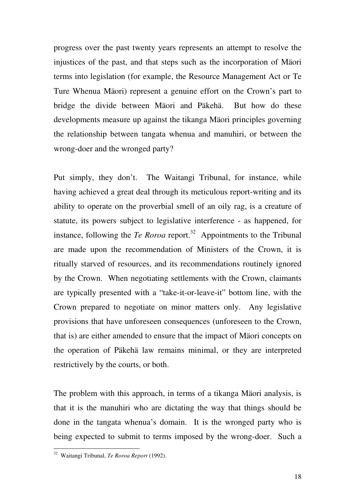progress over the past twenty years represents an attempt to resolve the injustices of the past, and that steps such as the incorporation of Mäori terms into legislation (for example, the Resource Management Act or Te Ture Whenua Mäori) represent a genuine effort on the Crown's part to bridge the divide between Mäori and Päkehä. But how do these developments measure up against the tikanga Mäori principles governing the relationship between tangata whenua and manuhiri, or between the wrong-doer and the wronged party?

Put simply, they don't. The Waitangi Tribunal, for instance, while having achieved a great deal through its meticulous report-writing and its ability to operate on the proverbial smell of an oily rag, is a creature of statute, its powers subject to legislative interference - as happened, for instance, following the *Te Roroa* report.<sup>32</sup> Appointments to the Tribunal are made upon the recommendation of Ministers of the Crown, it is ritually starved of resources, and its recommendations routinely ignored by the Crown. When negotiating settlements with the Crown, claimants are typically presented with a "take-it-or-leave-it" bottom line, with the Crown prepared to negotiate on minor matters only. Any legislative provisions that have unforeseen consequences (unforeseen to the Crown, that is) are either amended to ensure that the impact of Mäori concepts on the operation of Päkehä law remains minimal, or they are interpreted restrictively by the courts, or both.

The problem with this approach, in terms of a tikanga Mäori analysis, is that it is the manuhiri who are dictating the way that things should be done in the tangata whenua's domain. It is the wronged party who is being expected to submit to terms imposed by the wrong-doer. Such a

<sup>32</sup> Waitangi Tribunal, *Te Roroa Report* (1992).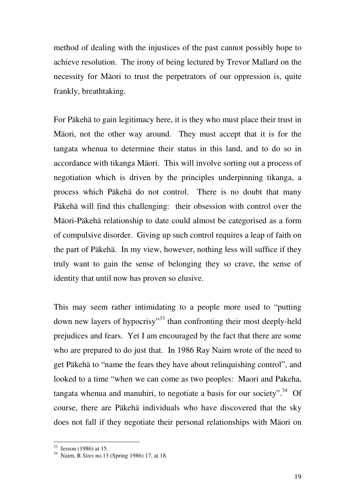method of dealing with the injustices of the past cannot possibly hope to achieve resolution. The irony of being lectured by Trevor Mallard on the necessity for Mäori to trust the perpetrators of our oppression is, quite frankly, breathtaking.

For Päkehä to gain legitimacy here, it is they who must place their trust in Mäori, not the other way around. They must accept that it is for the tangata whenua to determine their status in this land, and to do so in accordance with tikanga Mäori. This will involve sorting out a process of negotiation which is driven by the principles underpinning tikanga, a process which Päkehä do not control. There is no doubt that many Päkehä will find this challenging: their obsession with control over the Mäori-Päkehä relationship to date could almost be categorised as a form of compulsive disorder. Giving up such control requires a leap of faith on the part of Päkehä. In my view, however, nothing less will suffice if they truly want to gain the sense of belonging they so crave, the sense of identity that until now has proven so elusive.

This may seem rather intimidating to a people more used to "putting down new layers of hypocrisy"<sup>33</sup> than confronting their most deeply-held prejudices and fears. Yet I am encouraged by the fact that there are some who are prepared to do just that. In 1986 Ray Nairn wrote of the need to get Päkehä to "name the fears they have about relinquishing control", and looked to a time "when we can come as two peoples: Maori and Pakeha, tangata whenua and manuhiri, to negotiate a basis for our society".<sup>34</sup> Of course, there are Päkehä individuals who have discovered that the sky does not fall if they negotiate their personal relationships with Mäori on

 $33$  Jesson (1986) at 15.

<sup>34</sup> Nairn, R *Sites* no.13 (Spring 1986) 17, at 18.